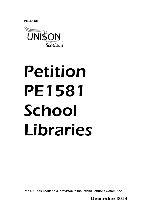**PE1581/B** 



# Petition PE1581 School Libraries

The UNISON Scotland submission to the Public Petitions Committee

**December 2015**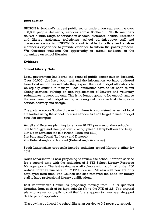## **Introduction**

UNISON is Scotland's largest public sector trade union representing over 150,000 people delivering services across Scotland. UNISON members deliver a wide range of services in schools. Members include: librarians and library assistants, technicians, school administrative staff and classroom assistants. UNISON Scotland is able to collate and analyse member's experience to provide evidence to inform the policy process. We therefore welcome the opportunity to submit evidence to the committee on school libraries.

## **Evidence**

# **School Library Cuts**

Local government has borne the brunt of public sector cuts in Scotland. Over 40,000 jobs have been lost and the information we have gathered from local authorities indicate they expect the next budget allocations to be equally difficult to manage. Local authorities have so far been salami slicing services, relying on non replacement of leavers and voluntary redundancy to meet the cuts. This is no longer going to be enough and so the next round of budget setting is laying out more radical changes in service delivery and design.

The picture across Scotland varies but there is a consistent pattern of local authorities using the school libraries service as a soft target to meet budget cuts: For example:

Argyll and Bute are planning to remove 10 FTE posts secondary schools 3 in Mid Argyll and Campbeltown (Lochgilphead, Campbeltown and Islay 3 In Oban Lorn and the Isle (Oban, Tiree and Mull)

2 in Bute and Cowal (Rothesay and Dunoon)

2 in Helensburgh and Lomond (Helensburgh Academy)

South Lanarkshire proposals include reducing school library staffing by 15%

North Lanarkshire is now proposing to review the school librarian service for a second time with the reduction of 2 FTE School Library Resource Manager posts. The last review saw all schools with pupil roll under 700 reduce librarian numbers to 0.7 FTE librarian. All new staff now are only employed term time. The Council has also removed the need for library staff to have professional library qualifications.

East Renfrewshire Council is proposing moving from 1 fully qualified librarian from each of its high schools (7) to the FTE of 3.5. The original plans to use senior pupils to staff the library appear to have been dropped due to public opposition.

Glasgow has reduced the school librarian service to 0.5 posts per school.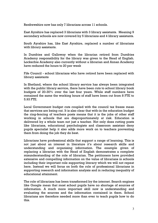Renfrewshire now has only 7 librarians across 11 schools.

East Ayrshire has replaced 3 librarians with 3 library assistants. Meaning 9 secondary schools are now covered by 5 librarians and 4 library assistants.

South Ayrshire has, like East Ayrshire, replaced a number of librarians with library assistants.

In Dumfries and Galloway when the librarian retired from Dumfries Academy responsibility for the library was given to the Head of English. Lockerbie Academy also currently without a librarian and Annan Academy have reduced the hours to 20 per week

Fife Council - school librarians who have retired have been replaced with library assistants

In Shetland, where the school library service has always been integrated with the public library service, there have been cuts to school library book budgets of 20-30% over the last four years. While staff numbers have remained the same the working hours of staff have been cut from 8 FTE to 5.93 FTE.

Local Government budget cuts coupled with the council tax freeze mean that services are being cut. It is also clear that with-in the education budget the ring-fencing of teachers posts means that it is the jobs of other staff working in schools that are disproportionately at risk. Education is delivered by a whole team not just a teacher. Not only does cutting posts like librarians, educational psychologists and classroom assistant deny pupils specialist help it also adds more work on to teachers preventing them from doing the job they do best.

Librarians have professional skills that support a range of learning. This is not just about an interest in literature it's about research skills and understanding and organising information. The example given of replacing a librarian with the Head of English demonstrates a complete misunderstanding of the role of librarian. The petitioners have provided extensive and compelling information on the value of librarians in schools including their important role supporting literacy which we will not repeat here. Instead we will focus on both the role of professional librarians in supporting research and information analysis and in reducing inequality of educational attainment.

The role of librarians has been transformed by the internet. Search engines like Google mean that most school pupils have no shortage of sources of information. A much more important skill now is understanding and evaluating the sources and the information contained in them. School librarians are therefore needed more than ever to teach pupils how to do this.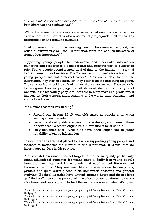"*the amount of information available to us at the click of a mouse... can be both liberating and asphyxiating*" 1

While there are more accessible sources of information available than ever before, the internet is also a source of propaganda, half truths, lies disinformation and genuine mistakes.

"making sense of all of this- knowing how to discriminate the good, the reliable, trustworthy or useful information from the bad- is therefore of tremendous importance $"^{2}$ 

Supporting young people to understand and undertake information gathering and research is a considerable and growing part of a librarian role. Young people spend a great deal of time on the internet. It is a vital tool for research and revision. The Demos report quoted above found that young people are not "internet savvy". They are unable to find the information they start to search for, they often trust the first thing they find. They are not fact checking or looking for alternative sources. They struggle to recognise bias or propaganda. At its most dangerous this type of behaviour makes young people vulnerable to extremists and predators. It impacts on their general understanding of the world, their education and ability to achieve.

The Demos research key finding $3$ 

<u>.</u>

- Around one in four 12-15 year olds make no checks at all when visiting a new website
- Decisions about quality are based on site design; about one in three believe that if a search engine lists information it must be true
- Only one third of 9-19year olds have been taught how to judge reliability of online information

School librarians are best placed to lead on supporting young people and teachers to better use the internet to find information. It is vital that we invest more not less in this service.

The Scottish Government has set targets to reduce inequality particularly round educational outcomes for young people. Sadly it is young people from the most deprived backgrounds that need school libraries and librarians the most. They are least likely to have access to computers, printers and quiet warm places to do homework, research and general studying. If school libraries have limited opening hours and do not have qualified staff then young people will have less access to information when it's closed and less support to find the information even when it's open.

<sup>&</sup>lt;sup>1</sup> Truths lies and the internet a report into young people's digital fluency Bartlett J and Miller C Demos 2011page 3

<sup>&</sup>lt;sup>2</sup> Truths lies and the internet a report into young people's digital fluency Bartlett J and Miller C Demos 2011 page 3

<sup>&</sup>lt;sup>3</sup> Truths lies and the internet a report into young people's digital fluency Bartlett J and Miller C Demos 2011 page 5